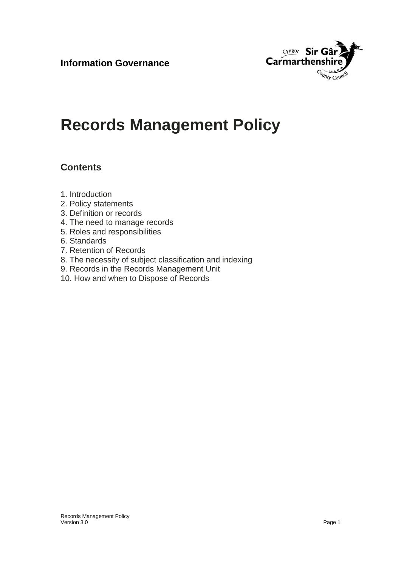

# **Records Management Policy**

## **Contents**

- 1. Introduction
- 2. Policy statements
- 3. Definition or records
- 4. The need to manage records
- 5. Roles and responsibilities
- 6. Standards
- 7. Retention of Records
- 8. The necessity of subject classification and indexing
- 9. Records in the Records Management Unit
- 10. How and when to Dispose of Records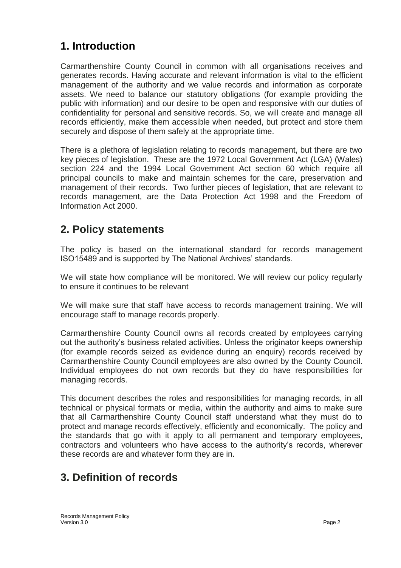# **1. Introduction**

Carmarthenshire County Council in common with all organisations receives and generates records. Having accurate and relevant information is vital to the efficient management of the authority and we value records and information as corporate assets. We need to balance our statutory obligations (for example providing the public with information) and our desire to be open and responsive with our duties of confidentiality for personal and sensitive records. So, we will create and manage all records efficiently, make them accessible when needed, but protect and store them securely and dispose of them safely at the appropriate time.

There is a plethora of legislation relating to records management, but there are two key pieces of legislation. These are the 1972 Local Government Act (LGA) (Wales) section 224 and the 1994 Local Government Act section 60 which require all principal councils to make and maintain schemes for the care, preservation and management of their records. Two further pieces of legislation, that are relevant to records management, are the Data Protection Act 1998 and the Freedom of Information Act 2000.

## **2. Policy statements**

The policy is based on the international standard for records management ISO15489 and is supported by The National Archives' standards.

We will state how compliance will be monitored. We will review our policy regularly to ensure it continues to be relevant

We will make sure that staff have access to records management training. We will encourage staff to manage records properly.

Carmarthenshire County Council owns all records created by employees carrying out the authority's business related activities. Unless the originator keeps ownership (for example records seized as evidence during an enquiry) records received by Carmarthenshire County Council employees are also owned by the County Council. Individual employees do not own records but they do have responsibilities for managing records.

This document describes the roles and responsibilities for managing records, in all technical or physical formats or media, within the authority and aims to make sure that all Carmarthenshire County Council staff understand what they must do to protect and manage records effectively, efficiently and economically. The policy and the standards that go with it apply to all permanent and temporary employees, contractors and volunteers who have access to the authority's records, wherever these records are and whatever form they are in.

# **3. Definition of records**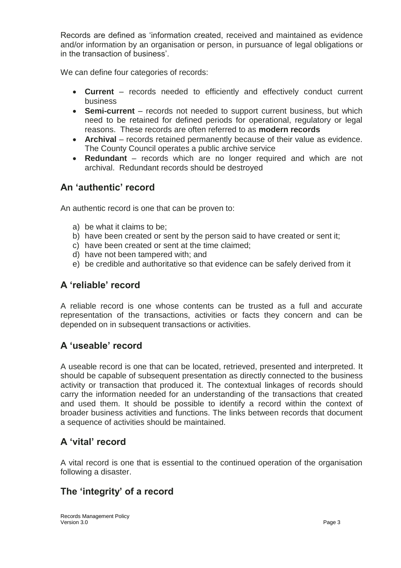Records are defined as 'information created, received and maintained as evidence and/or information by an organisation or person, in pursuance of legal obligations or in the transaction of business'.

We can define four categories of records:

- **Current** records needed to efficiently and effectively conduct current business
- **Semi-current**  records not needed to support current business, but which need to be retained for defined periods for operational, regulatory or legal reasons. These records are often referred to as **modern records**
- **Archival** records retained permanently because of their value as evidence. The County Council operates a public archive service
- **Redundant**  records which are no longer required and which are not archival. Redundant records should be destroyed

#### **An 'authentic' record**

An authentic record is one that can be proven to:

- a) be what it claims to be;
- b) have been created or sent by the person said to have created or sent it;
- c) have been created or sent at the time claimed;
- d) have not been tampered with; and
- e) be credible and authoritative so that evidence can be safely derived from it

#### **A 'reliable' record**

A reliable record is one whose contents can be trusted as a full and accurate representation of the transactions, activities or facts they concern and can be depended on in subsequent transactions or activities.

#### **A 'useable' record**

A useable record is one that can be located, retrieved, presented and interpreted. It should be capable of subsequent presentation as directly connected to the business activity or transaction that produced it. The contextual linkages of records should carry the information needed for an understanding of the transactions that created and used them. It should be possible to identify a record within the context of broader business activities and functions. The links between records that document a sequence of activities should be maintained.

#### **A 'vital' record**

A vital record is one that is essential to the continued operation of the organisation following a disaster.

## **The 'integrity' of a record**

Records Management Policy Version 3.0 Page 3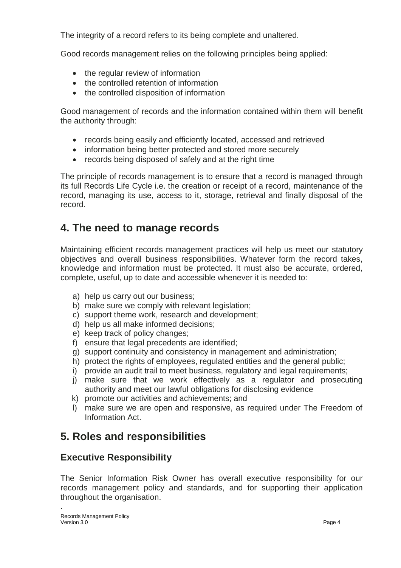The integrity of a record refers to its being complete and unaltered.

Good records management relies on the following principles being applied:

- the regular review of information
- the controlled retention of information
- the controlled disposition of information

Good management of records and the information contained within them will benefit the authority through:

- records being easily and efficiently located, accessed and retrieved
- information being better protected and stored more securely
- records being disposed of safely and at the right time

The principle of records management is to ensure that a record is managed through its full Records Life Cycle i.e. the creation or receipt of a record, maintenance of the record, managing its use, access to it, storage, retrieval and finally disposal of the record.

## **4. The need to manage records**

Maintaining efficient records management practices will help us meet our statutory objectives and overall business responsibilities. Whatever form the record takes, knowledge and information must be protected. It must also be accurate, ordered, complete, useful, up to date and accessible whenever it is needed to:

- a) help us carry out our business;
- b) make sure we comply with relevant legislation;
- c) support theme work, research and development;
- d) help us all make informed decisions;
- e) keep track of policy changes;
- f) ensure that legal precedents are identified;
- g) support continuity and consistency in management and administration;
- h) protect the rights of employees, regulated entities and the general public;
- i) provide an audit trail to meet business, regulatory and legal requirements;
- j) make sure that we work effectively as a regulator and prosecuting authority and meet our lawful obligations for disclosing evidence
- k) promote our activities and achievements; and
- l) make sure we are open and responsive, as required under The Freedom of Information Act.

## **5. Roles and responsibilities**

#### **Executive Responsibility**

The Senior Information Risk Owner has overall executive responsibility for our records management policy and standards, and for supporting their application throughout the organisation.

.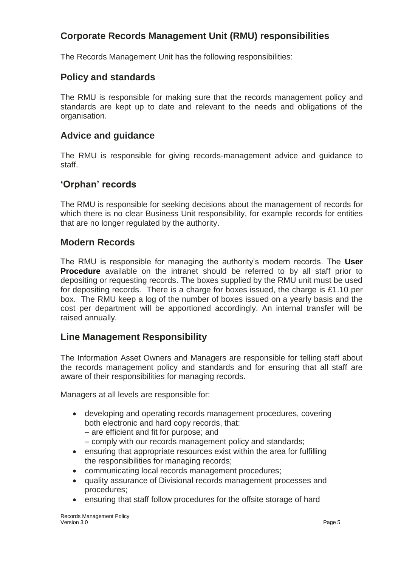#### **Corporate Records Management Unit (RMU) responsibilities**

The Records Management Unit has the following responsibilities:

#### **Policy and standards**

The RMU is responsible for making sure that the records management policy and standards are kept up to date and relevant to the needs and obligations of the organisation.

#### **Advice and guidance**

The RMU is responsible for giving records-management advice and guidance to staff.

#### **'Orphan' records**

The RMU is responsible for seeking decisions about the management of records for which there is no clear Business Unit responsibility, for example records for entities that are no longer regulated by the authority.

#### **Modern Records**

The RMU is responsible for managing the authority's modern records. The **User Procedure** available on the intranet should be referred to by all staff prior to depositing or requesting records. The boxes supplied by the RMU unit must be used for depositing records. There is a charge for boxes issued, the charge is £1.10 per box. The RMU keep a log of the number of boxes issued on a yearly basis and the cost per department will be apportioned accordingly. An internal transfer will be raised annually.

#### **Line Management Responsibility**

The Information Asset Owners and Managers are responsible for telling staff about the records management policy and standards and for ensuring that all staff are aware of their responsibilities for managing records.

Managers at all levels are responsible for:

- developing and operating records management procedures, covering both electronic and hard copy records, that:
	- are efficient and fit for purpose; and
	- comply with our records management policy and standards;
- ensuring that appropriate resources exist within the area for fulfilling the responsibilities for managing records;
- communicating local records management procedures;
- quality assurance of Divisional records management processes and procedures;
- ensuring that staff follow procedures for the offsite storage of hard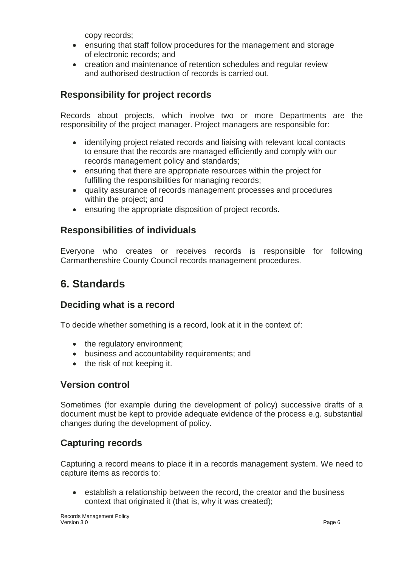copy records;

- ensuring that staff follow procedures for the management and storage of electronic records; and
- creation and maintenance of retention schedules and regular review and authorised destruction of records is carried out.

#### **Responsibility for project records**

Records about projects, which involve two or more Departments are the responsibility of the project manager. Project managers are responsible for:

- identifying project related records and liaising with relevant local contacts to ensure that the records are managed efficiently and comply with our records management policy and standards;
- ensuring that there are appropriate resources within the project for fulfilling the responsibilities for managing records;
- quality assurance of records management processes and procedures within the project; and
- ensuring the appropriate disposition of project records.

#### **Responsibilities of individuals**

Everyone who creates or receives records is responsible for following Carmarthenshire County Council records management procedures.

## **6. Standards**

#### **Deciding what is a record**

To decide whether something is a record, look at it in the context of:

- the regulatory environment;
- business and accountability requirements; and
- the risk of not keeping it.

#### **Version control**

Sometimes (for example during the development of policy) successive drafts of a document must be kept to provide adequate evidence of the process e.g. substantial changes during the development of policy.

#### **Capturing records**

Capturing a record means to place it in a records management system. We need to capture items as records to:

 establish a relationship between the record, the creator and the business context that originated it (that is, why it was created);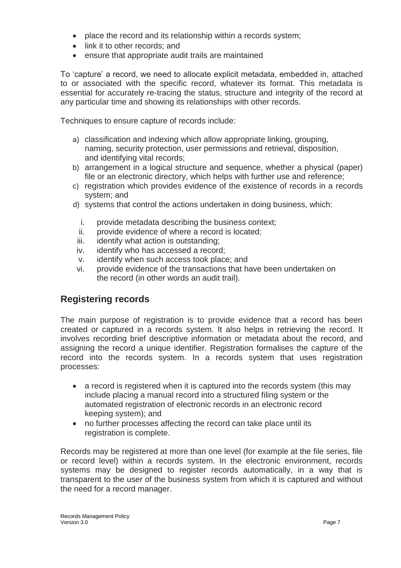- place the record and its relationship within a records system:
- link it to other records; and
- ensure that appropriate audit trails are maintained

To 'capture' a record, we need to allocate explicit metadata, embedded in, attached to or associated with the specific record, whatever its format. This metadata is essential for accurately re-tracing the status, structure and integrity of the record at any particular time and showing its relationships with other records.

Techniques to ensure capture of records include:

- a) classification and indexing which allow appropriate linking, grouping, naming, security protection, user permissions and retrieval, disposition, and identifying vital records;
- b) arrangement in a logical structure and sequence, whether a physical (paper) file or an electronic directory, which helps with further use and reference;
- c) registration which provides evidence of the existence of records in a records system; and
- d) systems that control the actions undertaken in doing business, which:
	- i. provide metadata describing the business context;
	- ii. provide evidence of where a record is located;
	- iii. identify what action is outstanding;
	- iv. identify who has accessed a record;
	- v. identify when such access took place; and
	- vi. provide evidence of the transactions that have been undertaken on the record (in other words an audit trail).

#### **Registering records**

The main purpose of registration is to provide evidence that a record has been created or captured in a records system. It also helps in retrieving the record. It involves recording brief descriptive information or metadata about the record, and assigning the record a unique identifier. Registration formalises the capture of the record into the records system. In a records system that uses registration processes:

- a record is registered when it is captured into the records system (this may include placing a manual record into a structured filing system or the automated registration of electronic records in an electronic record keeping system); and
- no further processes affecting the record can take place until its registration is complete.

Records may be registered at more than one level (for example at the file series, file or record level) within a records system. In the electronic environment, records systems may be designed to register records automatically, in a way that is transparent to the user of the business system from which it is captured and without the need for a record manager.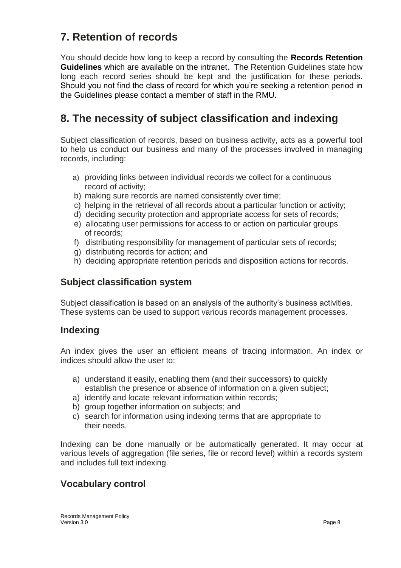# **7. Retention of records**

You should decide how long to keep a record by consulting the **Records Retention Guidelines** which are available on the intranet. The Retention Guidelines state how long each record series should be kept and the justification for these periods. Should you not find the class of record for which you're seeking a retention period in the Guidelines please contact a member of staff in the RMU.

# **8. The necessity of subject classification and indexing**

Subject classification of records, based on business activity, acts as a powerful tool to help us conduct our business and many of the processes involved in managing records, including:

- a) providing links between individual records we collect for a continuous record of activity;
- b) making sure records are named consistently over time;
- c) helping in the retrieval of all records about a particular function or activity;
- d) deciding security protection and appropriate access for sets of records;
- e) allocating user permissions for access to or action on particular groups of records;
- f) distributing responsibility for management of particular sets of records;
- g) distributing records for action; and
- h) deciding appropriate retention periods and disposition actions for records.

#### **Subject classification system**

Subject classification is based on an analysis of the authority's business activities. These systems can be used to support various records management processes.

#### **Indexing**

An index gives the user an efficient means of tracing information. An index or indices should allow the user to:

- a) understand it easily, enabling them (and their successors) to quickly establish the presence or absence of information on a given subject;
- a) identify and locate relevant information within records;
- b) group together information on subjects; and
- c) search for information using indexing terms that are appropriate to their needs.

Indexing can be done manually or be automatically generated. It may occur at various levels of aggregation (file series, file or record level) within a records system and includes full text indexing.

#### **Vocabulary control**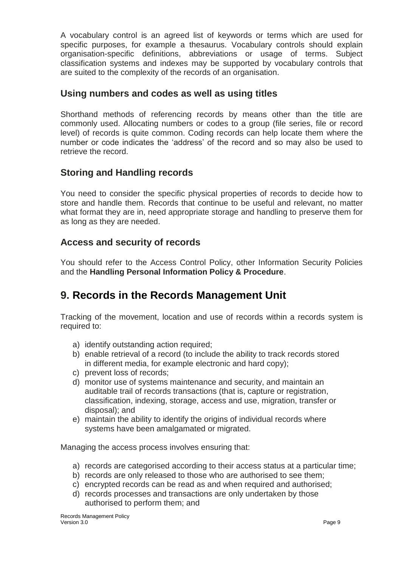A vocabulary control is an agreed list of keywords or terms which are used for specific purposes, for example a thesaurus. Vocabulary controls should explain organisation-specific definitions, abbreviations or usage of terms. Subject classification systems and indexes may be supported by vocabulary controls that are suited to the complexity of the records of an organisation.

#### **Using numbers and codes as well as using titles**

Shorthand methods of referencing records by means other than the title are commonly used. Allocating numbers or codes to a group (file series, file or record level) of records is quite common. Coding records can help locate them where the number or code indicates the 'address' of the record and so may also be used to retrieve the record.

#### **Storing and Handling records**

You need to consider the specific physical properties of records to decide how to store and handle them. Records that continue to be useful and relevant, no matter what format they are in, need appropriate storage and handling to preserve them for as long as they are needed.

#### **Access and security of records**

You should refer to the Access Control Policy, other Information Security Policies and the **Handling Personal Information Policy & Procedure**.

## **9. Records in the Records Management Unit**

Tracking of the movement, location and use of records within a records system is required to:

- a) identify outstanding action required;
- b) enable retrieval of a record (to include the ability to track records stored in different media, for example electronic and hard copy);
- c) prevent loss of records;
- d) monitor use of systems maintenance and security, and maintain an auditable trail of records transactions (that is, capture or registration, classification, indexing, storage, access and use, migration, transfer or disposal); and
- e) maintain the ability to identify the origins of individual records where systems have been amalgamated or migrated.

Managing the access process involves ensuring that:

- a) records are categorised according to their access status at a particular time;
- b) records are only released to those who are authorised to see them;
- c) encrypted records can be read as and when required and authorised;
- d) records processes and transactions are only undertaken by those authorised to perform them; and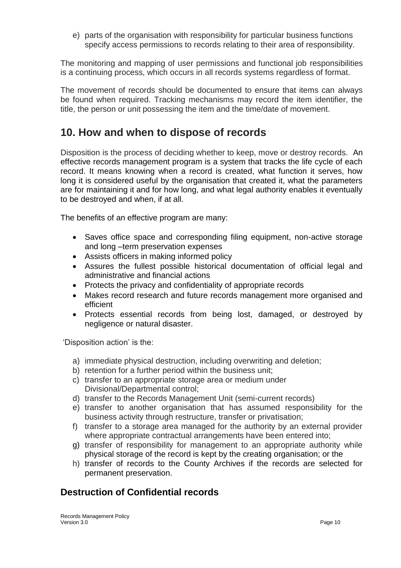e) parts of the organisation with responsibility for particular business functions specify access permissions to records relating to their area of responsibility.

The monitoring and mapping of user permissions and functional job responsibilities is a continuing process, which occurs in all records systems regardless of format.

The movement of records should be documented to ensure that items can always be found when required. Tracking mechanisms may record the item identifier, the title, the person or unit possessing the item and the time/date of movement.

## **10. How and when to dispose of records**

Disposition is the process of deciding whether to keep, move or destroy records. An effective records management program is a system that tracks the life cycle of each record. It means knowing when a record is created, what function it serves, how long it is considered useful by the organisation that created it, what the parameters are for maintaining it and for how long, and what legal authority enables it eventually to be destroyed and when, if at all.

The benefits of an effective program are many:

- Saves office space and corresponding filing equipment, non-active storage and long –term preservation expenses
- Assists officers in making informed policy
- Assures the fullest possible historical documentation of official legal and administrative and financial actions
- Protects the privacy and confidentiality of appropriate records
- Makes record research and future records management more organised and efficient
- Protects essential records from being lost, damaged, or destroyed by negligence or natural disaster.

'Disposition action' is the:

- a) immediate physical destruction, including overwriting and deletion;
- b) retention for a further period within the business unit;
- c) transfer to an appropriate storage area or medium under Divisional/Departmental control;
- d) transfer to the Records Management Unit (semi-current records)
- e) transfer to another organisation that has assumed responsibility for the business activity through restructure, transfer or privatisation;
- f) transfer to a storage area managed for the authority by an external provider where appropriate contractual arrangements have been entered into;
- g) transfer of responsibility for management to an appropriate authority while physical storage of the record is kept by the creating organisation; or the
- h) transfer of records to the County Archives if the records are selected for permanent preservation.

## **Destruction of Confidential records**

Records Management Policy<br>Version 3.0 Version 3.0 Page 10